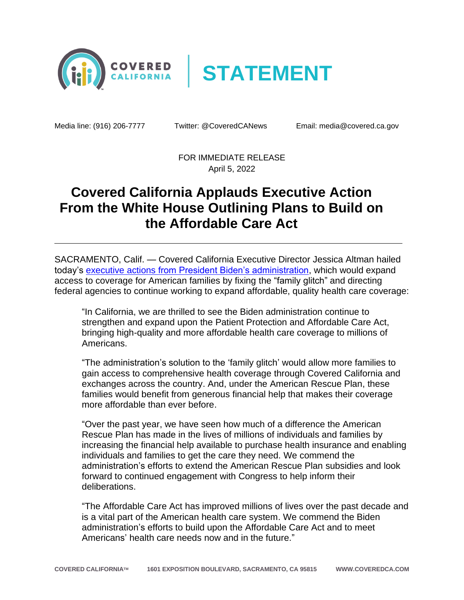



Media line: (916) 206-7777 Twitter: @CoveredCANews Email: media@covered.ca.gov

FOR IMMEDIATE RELEASE April 5, 2022

## **Covered California Applauds Executive Action From the White House Outlining Plans to Build on the Affordable Care Act**

SACRAMENTO, Calif. — Covered California Executive Director Jessica Altman hailed today's executive actions [from President Biden's administration,](https://www.whitehouse.gov/briefing-room/statements-releases/2022/04/05/fact-sheet-biden-harris-administration-proposes-rule-to-fix-family-glitch-and-lower-health-care-costs/) which would expand access to coverage for American families by fixing the "family glitch" and directing federal agencies to continue working to expand affordable, quality health care coverage:

"In California, we are thrilled to see the Biden administration continue to strengthen and expand upon the Patient Protection and Affordable Care Act, bringing high-quality and more affordable health care coverage to millions of Americans.

"The administration's solution to the 'family glitch' would allow more families to gain access to comprehensive health coverage through Covered California and exchanges across the country. And, under the American Rescue Plan, these families would benefit from generous financial help that makes their coverage more affordable than ever before.

"Over the past year, we have seen how much of a difference the American Rescue Plan has made in the lives of millions of individuals and families by increasing the financial help available to purchase health insurance and enabling individuals and families to get the care they need. We commend the administration's efforts to extend the American Rescue Plan subsidies and look forward to continued engagement with Congress to help inform their deliberations.

"The Affordable Care Act has improved millions of lives over the past decade and is a vital part of the American health care system. We commend the Biden administration's efforts to build upon the Affordable Care Act and to meet Americans' health care needs now and in the future."